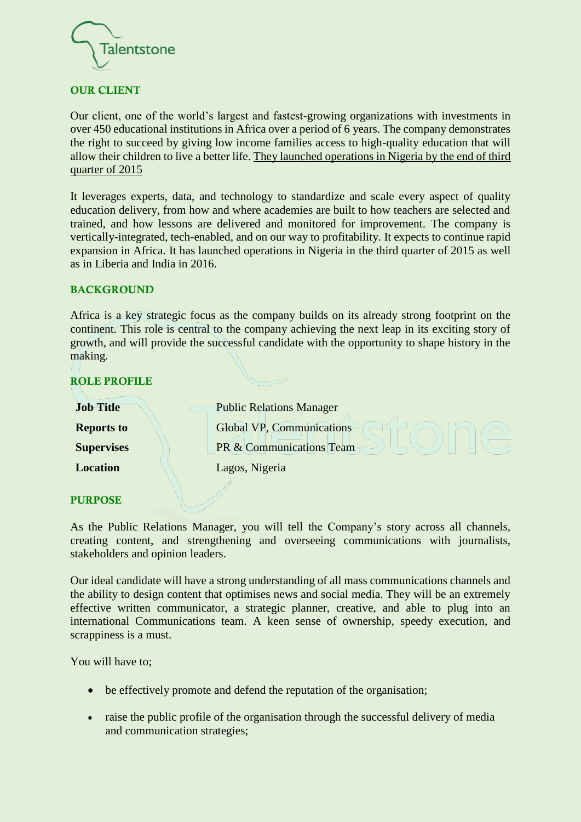

### OUR CLIENT

Our client, one of the world's largest and fastest-growing organizations with investments in over 450 educational institutions in Africa over a period of 6 years. The company demonstrates the right to succeed by giving low income families access to high-quality education that will allow their children to live a better life. They launched operations in Nigeria by the end of third quarter of 2015

It leverages experts, data, and technology to standardize and scale every aspect of quality education delivery, from how and where academies are built to how teachers are selected and trained, and how lessons are delivered and monitored for improvement. The company is vertically-integrated, tech-enabled, and on our way to profitability. It expects to continue rapid expansion in Africa. It has launched operations in Nigeria in the third quarter of 2015 as well as in Liberia and India in 2016.

#### BACKGROUND

Africa is a key strategic focus as the company builds on its already strong footprint on the continent. This role is central to the company achieving the next leap in its exciting story of growth, and will provide the successful candidate with the opportunity to shape history in the making.

#### ROLE PROFILE

| <b>Job Title</b>  | <b>Public Relations Manager</b>     |
|-------------------|-------------------------------------|
| <b>Reports to</b> | <b>Global VP, Communications</b>    |
| <b>Supervises</b> | <b>PR &amp; Communications Team</b> |
| <b>Location</b>   | Lagos, Nigeria                      |

#### PURPOSE

As the Public Relations Manager, you will tell the Company's story across all channels, creating content, and strengthening and overseeing communications with journalists, stakeholders and opinion leaders.

Our ideal candidate will have a strong understanding of all mass communications channels and the ability to design content that optimises news and social media. They will be an extremely effective written communicator, a strategic planner, creative, and able to plug into an international Communications team. A keen sense of ownership, speedy execution, and scrappiness is a must.

You will have to;

- be effectively promote and defend the reputation of the organisation;
- raise the public profile of the organisation through the successful delivery of media and communication strategies;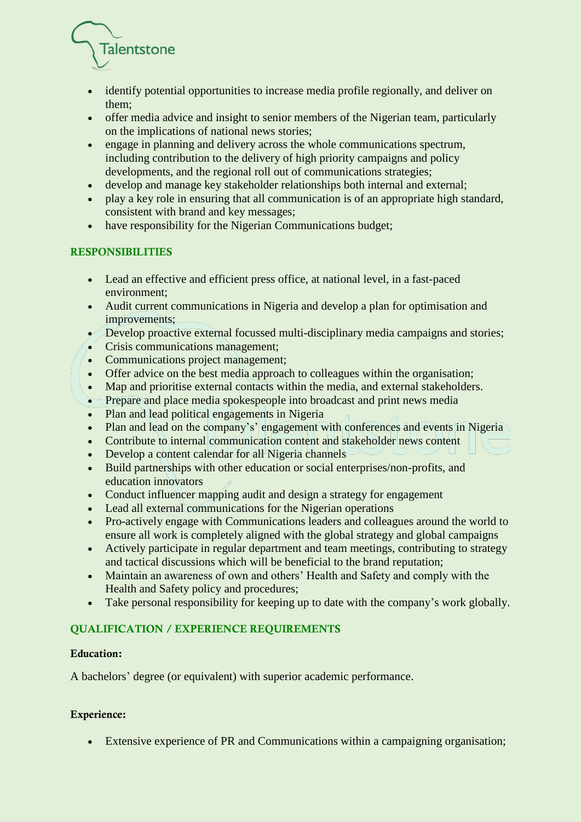

- identify potential opportunities to increase media profile regionally, and deliver on them;
- offer media advice and insight to senior members of the Nigerian team, particularly on the implications of national news stories;
- engage in planning and delivery across the whole communications spectrum. including contribution to the delivery of high priority campaigns and policy developments, and the regional roll out of communications strategies;
- develop and manage key stakeholder relationships both internal and external;
- play a key role in ensuring that all communication is of an appropriate high standard, consistent with brand and key messages;
- have responsibility for the Nigerian Communications budget;

# RESPONSIBILITIES

- Lead an effective and efficient press office, at national level, in a fast-paced environment;
- Audit current communications in Nigeria and develop a plan for optimisation and improvements;
- Develop proactive external focussed multi-disciplinary media campaigns and stories;
- Crisis communications management;
- Communications project management;
- Offer advice on the best media approach to colleagues within the organisation;
- Map and prioritise external contacts within the media, and external stakeholders.
- Prepare and place media spokespeople into broadcast and print news media
- Plan and lead political engagements in Nigeria
- Plan and lead on the company's' engagement with conferences and events in Nigeria
- Contribute to internal communication content and stakeholder news content
- Develop a content calendar for all Nigeria channels
- Build partnerships with other education or social enterprises/non-profits, and education innovators
- Conduct influencer mapping audit and design a strategy for engagement
- Lead all external communications for the Nigerian operations
- Pro-actively engage with Communications leaders and colleagues around the world to ensure all work is completely aligned with the global strategy and global campaigns
- Actively participate in regular department and team meetings, contributing to strategy and tactical discussions which will be beneficial to the brand reputation;
- Maintain an awareness of own and others' Health and Safety and comply with the Health and Safety policy and procedures;
- Take personal responsibility for keeping up to date with the company's work globally.

## QUALIFICATION / EXPERIENCE REQUIREMENTS

## Education:

A bachelors' degree (or equivalent) with superior academic performance.

## Experience:

• Extensive experience of PR and Communications within a campaigning organisation;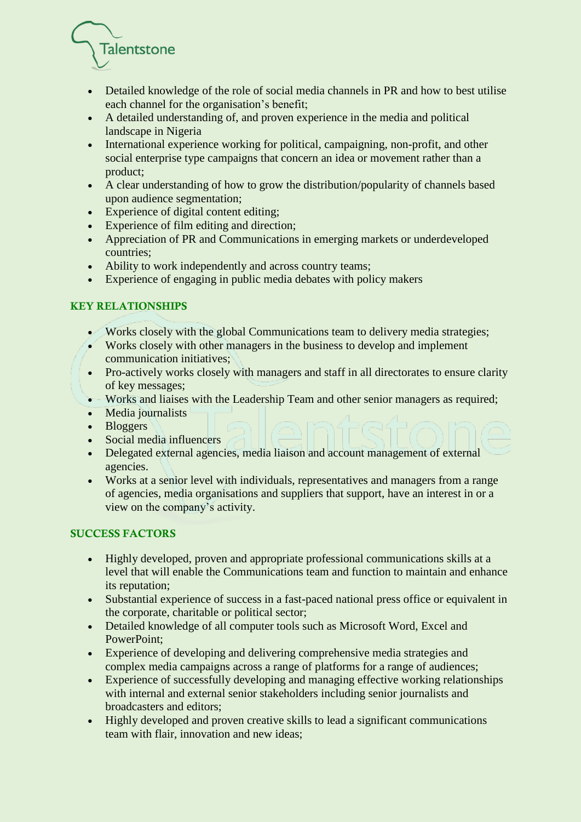

- Detailed knowledge of the role of social media channels in PR and how to best utilise each channel for the organisation's benefit;
- A detailed understanding of, and proven experience in the media and political landscape in Nigeria
- International experience working for political, campaigning, non-profit, and other social enterprise type campaigns that concern an idea or movement rather than a product;
- A clear understanding of how to grow the distribution/popularity of channels based upon audience segmentation;
- Experience of digital content editing;
- Experience of film editing and direction;
- Appreciation of PR and Communications in emerging markets or underdeveloped countries;
- Ability to work independently and across country teams;
- Experience of engaging in public media debates with policy makers

## KEY RELATIONSHIPS

- Works closely with the global Communications team to delivery media strategies;
- Works closely with other managers in the business to develop and implement communication initiatives;
- Pro-actively works closely with managers and staff in all directorates to ensure clarity of key messages;
- Works and liaises with the Leadership Team and other senior managers as required;
- Media journalists
- Bloggers
- Social media influencers
- Delegated external agencies, media liaison and account management of external agencies.
- Works at a senior level with individuals, representatives and managers from a range of agencies, media organisations and suppliers that support, have an interest in or a view on the company's activity.

## SUCCESS FACTORS

- Highly developed, proven and appropriate professional communications skills at a level that will enable the Communications team and function to maintain and enhance its reputation;
- Substantial experience of success in a fast-paced national press office or equivalent in the corporate, charitable or political sector;
- Detailed knowledge of all computer tools such as Microsoft Word, Excel and PowerPoint;
- Experience of developing and delivering comprehensive media strategies and complex media campaigns across a range of platforms for a range of audiences;
- Experience of successfully developing and managing effective working relationships with internal and external senior stakeholders including senior journalists and broadcasters and editors;
- Highly developed and proven creative skills to lead a significant communications team with flair, innovation and new ideas;